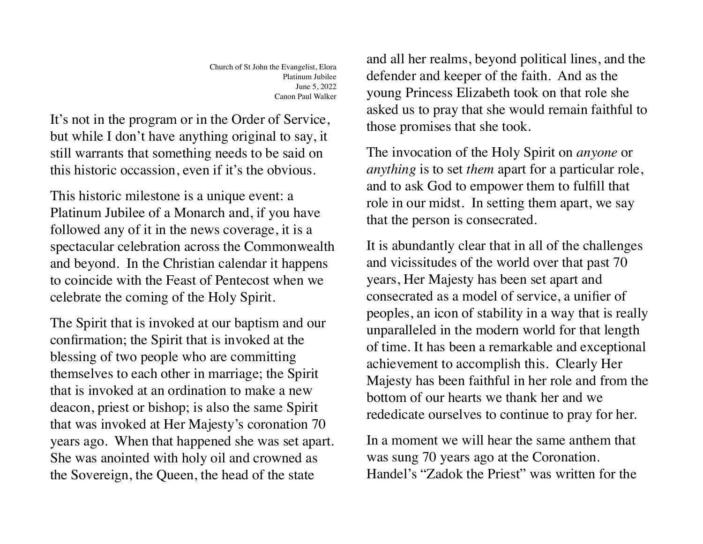Church of St John the Evangelist, Elora Platinum Jubilee June 5, 2022 Canon Paul Walker

It's not in the program or in the Order of Service, but while I don't have anything original to say, it still warrants that something needs to be said on this historic occassion, even if it's the obvious.

This historic milestone is a unique event: a Platinum Jubilee of a Monarch and, if you have followed any of it in the news coverage, it is a spectacular celebration across the Commonwealth and beyond. In the Christian calendar it happens to coincide with the Feast of Pentecost when we celebrate the coming of the Holy Spirit.

The Spirit that is invoked at our baptism and our confirmation; the Spirit that is invoked at the blessing of two people who are committing themselves to each other in marriage; the Spirit that is invoked at an ordination to make a new deacon, priest or bishop; is also the same Spirit that was invoked at Her Majesty's coronation 70 years ago. When that happened she was set apart. She was anointed with holy oil and crowned as the Sovereign, the Queen, the head of the state

and all her realms, beyond political lines, and the defender and keeper of the faith. And as the young Princess Elizabeth took on that role she asked us to pray that she would remain faithful to those promises that she took.

The invocation of the Holy Spirit on *anyone* or *anything* is to set *them* apart for a particular role, and to ask God to empower them to fulfill that role in our midst. In setting them apart, we say that the person is consecrated.

It is abundantly clear that in all of the challenges and vicissitudes of the world over that past 70 years, Her Majesty has been set apart and consecrated as a model of service, a unifier of peoples, an icon of stability in a way that is really unparalleled in the modern world for that length of time. It has been a remarkable and exceptional achievement to accomplish this. Clearly Her Majesty has been faithful in her role and from the bottom of our hearts we thank her and we rededicate ourselves to continue to pray for her.

In a moment we will hear the same anthem that was sung 70 years ago at the Coronation. Handel's "Zadok the Priest" was written for the